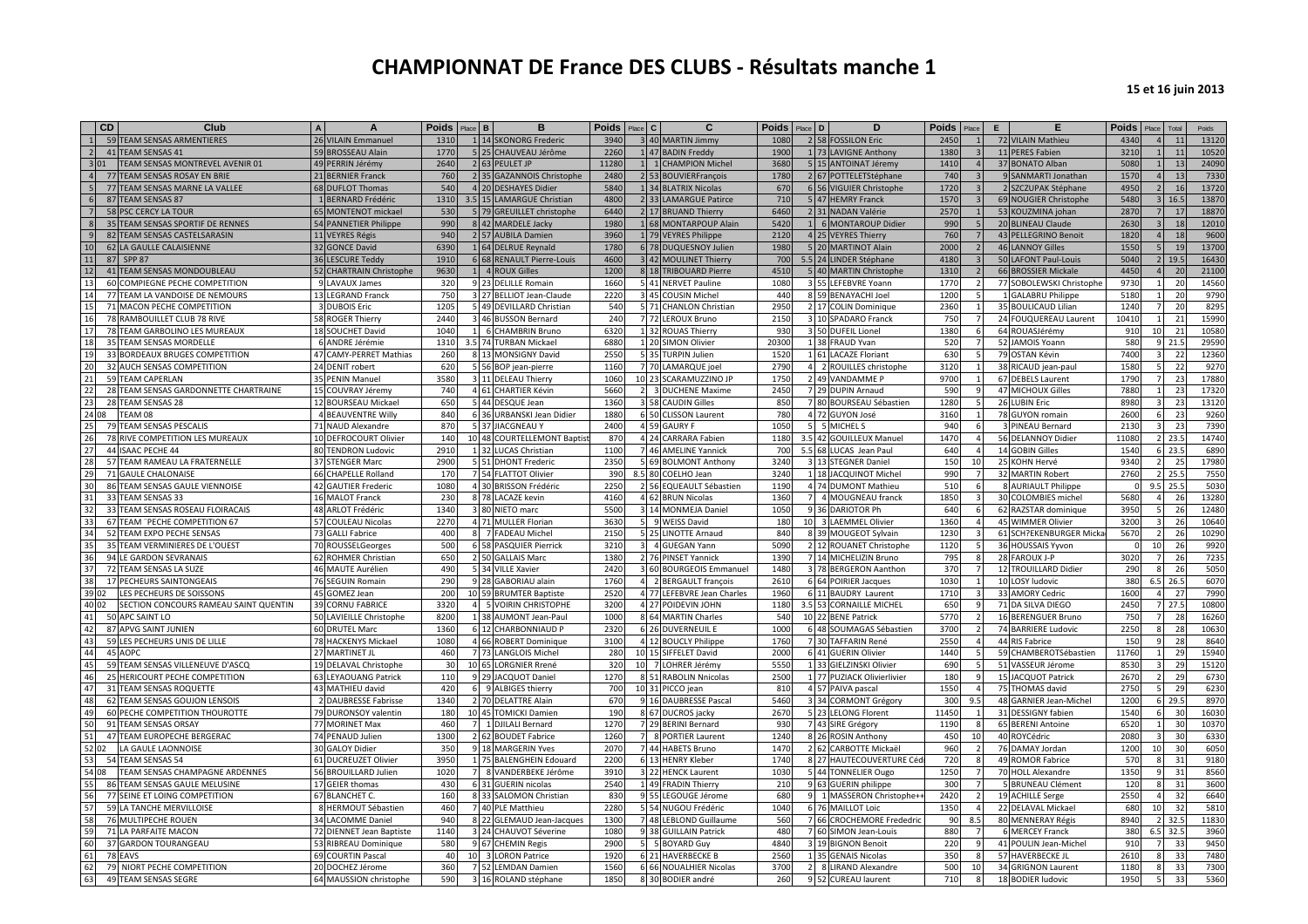|          | <b>CD</b> | Club                                                      | $\Delta$ | $\Delta$                                 | <b>Poids</b> | Place B      | B                                           | <b>Poids</b><br>Place C |    | C.                                         |             | Poids Place D  | D                                           | <b>Poids</b><br>Place           | E. | F                                       | <b>Poids</b> | Total<br>Place                        | Poids          |
|----------|-----------|-----------------------------------------------------------|----------|------------------------------------------|--------------|--------------|---------------------------------------------|-------------------------|----|--------------------------------------------|-------------|----------------|---------------------------------------------|---------------------------------|----|-----------------------------------------|--------------|---------------------------------------|----------------|
|          |           | 59 TEAM SENSAS ARMENTIERES                                |          | 26 VILAIN Emmanuel                       | 1310         |              | 1 14 SKONORG Frederic                       | 3940                    |    | 3 40 MARTIN Jimmy                          | 1080        | 2 58           | <b>FOSSILON Eric</b>                        | 2450                            |    | 72 VILAIN Mathieu                       | 4340         | 11                                    | 13120          |
|          |           | 41 TEAM SENSAS 41                                         |          | 59 BROSSEAU Alain                        | 1770         |              | 5 25 CHAUVEAU Jérôme                        | 2260                    |    | 1 47 BADIN Freddy                          | 1900        |                | 1 73 LAVIGNE Anthony                        | 1380                            |    | 11 PERES Fabien                         | 3210         |                                       | 10520<br>11    |
| 3101     |           | TEAM SENSAS MONTREVEL AVENIR 01                           |          | 49 PERRIN Jérémy                         | 2640         |              | 2 63 PEULET JP                              | 11280                   |    | 1 1 CHAMPION Michel                        | 3680        |                | 5 15 ANTOINAT Jéremy                        | 1410                            |    | 37 BONATO Alban                         | 5080         |                                       | 24090<br>13    |
|          |           | 77 TEAM SENSAS ROSAY EN BRIE                              |          | 21 BERNIER Franck                        | 760          |              | 2 35 GAZANNOIS Christophe                   | 2480                    |    | 2 53 BOUVIERFrançois                       | 1780        |                | 2 67 POTTELETStéphane                       | 740                             |    | 9 SANMARTI Jonathan                     | 1570         | 13                                    | 7330           |
|          |           | 77 TEAM SENSAS MARNE LA VALLEE                            |          | 68 DUFLOT Thomas                         | 540          |              | 4 20 DESHAYES Didier                        | 5840                    |    | 1 34 BLATRIX Nicolas                       | 670         |                | 6 56 VIGUIER Christophe                     | 1720                            |    | 2 SZCZUPAK Stéphane                     | 4950         | 16                                    | 13720          |
|          |           | 87 TEAM SENSAS 87                                         |          | 1 BERNARD Frédéric                       | 1310         |              | 3.5 15 LAMARGUE Christian                   | 4800                    |    | 2 33 LAMARGUE Patirce                      | 710         |                | 5 47 HEMRY Franck                           | 1570                            |    | 69 NOUGIER Christophe                   | 5480         | 16.5                                  | 13870          |
|          |           | 58 PSC CERCY LA TOUR                                      |          | 65 MONTENOT mickael                      | 530          |              | 5 79 GREUILLET christophe                   | 6440                    |    | 2 17 BRUAND Thierry                        | 6460        |                | 2 31 NADAN Valérie                          | 2570                            |    | 53 KOUZMINA johan                       | 2870         | 17                                    | 18870          |
|          |           | 35 TEAM SENSAS SPORTIF DE RENNES                          |          | 54 PANNETIER Philippe                    | 990          |              | 8 42 MARDELE Jacky                          | 1980                    |    | 1 68 MONTARPOUP Alain                      | 5420        | 1 <sup>1</sup> | 6 MONTAROUP Didier                          | 990                             |    | 20 BLINEAU Claude                       | 2630         | 18                                    | 12010          |
|          |           | 82 TEAM SENSAS CASTELSARASIN                              |          | 11 VEYRES Régis                          | 940          |              | 2 57 AUBILA Damien                          | 3960                    |    | 1 79 VEYRES Philippe                       | 2120        |                | 4 25 VEYRES Thierry                         | 760                             |    | 43 PELLEGRINO Benoit                    | 1820         |                                       | 9600<br>18     |
|          |           | 62 LA GAULLE CALAISIENNE                                  |          | 32 GONCE David                           | 6390         |              | 1 64 DELRUE Reynald                         | 1780                    |    | 6 78 DUQUESNOY Julien                      | 1980        |                | 5 20 MARTINOT Alain                         | 2000                            |    | 46 LANNOY Gilles                        | 1550         | 19                                    | 13700          |
| 11       | 87        | <b>SPP 87</b>                                             |          | 36 LESCURE Teddy                         | 1910         |              | 6 68 RENAULT Pierre-Louis                   | 4600                    |    | 3 42 MOULINET Thierry                      | 700         |                | 5.5 24 LINDER Stéphane                      | 4180                            |    | 50 LAFONT Paul-Louis                    | 5040         | 19.5                                  | 16430          |
| 12       |           | 41 TEAM SENSAS MONDOUBLEAU                                |          | 52 CHARTRAIN Christophe                  | 9630         |              | 4 ROUX Gilles                               | 1200                    |    | 8 18 TRIBOUARD Pierre                      | 4510        |                | 5 40 MARTIN Christophe                      | 1310                            |    | 66 BROSSIER Mickale                     | 4450         | 20                                    | 21100          |
| 13       |           | 60 COMPIEGNE PECHE COMPETITION                            |          | 9 LAVAUX James                           | 320          |              | 9 23 DELILLE Romain                         | 1660                    |    | 5 41 NERVET Pauline                        | 1080        |                | 55 LEFEBVRE Yoann                           | 1770                            |    | 77 SOBOLEWSKI Christophe                | 9730         | 20                                    | 14560          |
| 14       |           | 77 TEAM LA VANDOISE DE NEMOURS                            |          | 13 LEGRAND Franck                        | 750          |              | 3 27 BELLIOT Jean-Claude                    | 2220                    |    | 3 45 COUSIN Michel                         | 440         |                | 8 59 BENAYACHI Joel                         | 1200                            |    | 1 GALABRU Philippe                      | 5180         | 20                                    | 9790           |
| 15       |           | 71 MACON PECHE COMPETITION                                |          | 3 DUBOIS Eric                            | 1205         |              | 5 49 DEVILLARD Christian                    | 540                     |    | 5 71 CHANLON Christian                     | 2950        |                | 2 17 COLIN Dominique                        | 2360                            |    | 35 BOULICAUD Lilian                     | 1240         | 20                                    | 8295           |
|          |           | 78 RAMBOUILLET CLUB 78 RIVE                               |          | 58 ROGER Thierry                         | 2440         |              | 46 BUSSON Bernard                           | 240                     |    | 7 72 LEROUX Bruno                          | 2150        |                | 3 10 SPADARO Franck                         | 750                             |    | 24 FOUQUEREAU Laurent                   | 10410        | 21                                    | 15990          |
|          |           | 78 TEAM GARBOLINO LES MUREAUX                             |          | 18 SOUCHET David                         | 1040         |              | <b>6 CHAMBRIN Bruno</b>                     | 6320                    |    | 1 32 ROUAS Thierry                         | 930         |                | 3 50 DUFEIL Lionel                          | 1380                            |    | 64 ROUASJérémy                          | 910          | 21<br>10                              | 10580          |
| 18       |           | 35 TEAM SENSAS MORDELLE                                   |          | 6 ANDRE Jérémie                          | 1310         |              | 3.5 74 TURBAN Mickael                       | 6880                    |    | 1 20 SIMON Olivier                         | 20300       |                | 1 38 FRAUD Yvan                             | 520                             |    | 52 JAMOIS Yoann                         | 580          | 21.5                                  | 29590          |
| 19       | 33        | BORDEAUX BRUGES COMPETITION                               |          | <b>CAMY-PERRET Mathias</b>               | 260          |              | 8 13 MONSIGNY David                         | 2550                    |    | 35 TURPIN Julien                           | 1520        |                | <b>LACAZE Floriant</b>                      | 630                             |    | 79 OSTAN Kévin                          | 7400         | 22                                    | 12360          |
| 20       |           | 32 AUCH SENSAS COMPETITION                                |          | 24 DENIT robert                          | 620          |              | 5 56 BOP jean-pierre                        | 1160                    |    | 7 70 LAMARQUE joel                         | 2790        |                | 2 ROUILLES christophe                       | 3120                            |    | 38 RICAUD jean-paul                     | 1580         |                                       | 9270<br>22     |
| 21       |           | 59 TEAM CAPERLAN                                          |          | <b>PENIN Manuel</b>                      | 3580         |              | 3 11 DELEAU Thierry                         | 1060                    |    | 10 23 SCARAMUZZINO JP                      | 1750        |                | 49 VANDAMME P                               | 9700                            |    | 67 DEBELS Laurent                       | 1790         | 23                                    | 17880          |
|          |           | 28 TEAM SENSAS GARDONNETTE CHARTRAINE                     |          | 15 COUVRAY Jéremy                        | 740          |              | 4 61 CHARTIER Kévin                         | 5660                    |    | <b>3 DUCHENE Maxime</b>                    | 2450        |                | 7 29 DUPIN Arnaud                           | 590                             |    | 47 MICHOUX Gilles                       | 7880         | 23                                    | 17320          |
| 23       |           | 28 TEAM SENSAS 28                                         |          | 12 BOURSEAU Mickael                      | 650          |              | 5 44 DESQUE Jean                            | 1360                    |    | 58 CAUDIN Gilles                           | 850         |                | 7 80 BOURSEAU Sébastien                     | 1280                            |    | 26 LUBIN Eric                           | 8980         | 23                                    | 13120          |
| 24 08    |           | TEAM 08                                                   |          | <b>4 BEAUVENTRE Willy</b>                | 840          |              | 6 36 URBANSKI Jean Didier                   | 1880                    |    | 6 50 CLISSON Laurent                       | 780         |                | 4 72 GUYON José                             | 3160                            |    | 78 GUYON romain                         | 2600         | 23                                    | 9260           |
| 25       |           | 79 TEAM SENSAS PESCALIS                                   |          | 71 NAUD Alexandre                        | 870          |              | 5 37 JIACGNEAU Y                            | 2400                    |    | <b>GAURY F</b>                             | 1050        |                | 5 MICHEL S                                  | 940                             |    | 3 PINEAU Bernard                        | 2130         | 23                                    | 7390           |
| 26       |           | 78 RIVE COMPETITION LES MUREAUX                           |          | 10 DEFROCOURT Olivier                    | 140          |              | 10 48 COURTELLEMONT Baptis                  | 870                     |    | 24 CARRARA Fabien                          | 1180        |                | 3.5 42 GOUILLEUX Manuel                     | 1470                            |    | 56 DELANNOY Didier                      | 11080        | 2 2 3.5                               | 14740          |
| 27       | 44        | <b>ISAAC PECHE 44</b>                                     |          | 80 TENDRON Ludovic                       | 2910         |              | 1 32 LUCAS Christian                        | 1100                    |    | 46 AMELINE Yannick                         | 700         |                | 5.5 68 LUCAS Jean Paul                      | 640                             |    | 14 GOBIN Gilles                         | 1540         | 6 23.                                 | 6890           |
| 28       |           | 57 TEAM RAMEAU LA FRATERNELLE                             |          | 37 STENGER Marc                          | 2900         | 5 51         | <b>DHONT Frederid</b>                       | 2350                    |    | 5 69 BOLMONT Anthony                       | 3240        |                | 13 STEGNER Daniel                           | 150<br>10                       |    | 25 KOHN Hervé                           | 9340         | $\overline{2}$<br>25                  | 17980          |
| 29       |           | 71 GAULE CHALONAISE                                       |          | 66 CHAPELLE Rolland                      | 170          |              | 7 54 FLATTOT Olivier                        | 390                     |    | 80 COELHO Jean                             | 3240        |                | 1 18 JACQUINOT Michel                       | 990                             |    | 32 MARTIN Robert                        | 2760         | $2 \, 25.5$                           | 7550           |
| 30       |           | 86 TEAM SENSAS GAULE VIENNOISE                            |          | 42 GAUTIER Frederic                      | 1080         |              | 4 30 BRISSON Frédéric                       | 2250                    | 56 | EQUEAULT Sébastien                         | 1190        |                | 4 74 DUMONT Mathieu                         | 510                             |    | 8 AURIAULT Philippe                     |              | $9.5$ 25.                             | 5030           |
| 31       |           | 33 TEAM SENSAS 33                                         |          | 16 MALOT Franck                          | 230          | 8 7 8        | <b>LACAZE</b> kevin                         | 4160                    |    | <b>BRUN Nicolas</b>                        | 1360        |                | 4 MOUGNEAU franck                           | 1850                            |    | 30 COLOMBIES michel                     | 5680         | 26                                    | 13280          |
| 32       |           | 33 TEAM SENSAS ROSEAU FLOIRACAIS                          |          | 48 ARLOT Frédéric                        | 1340         |              | 3 80 NIETO marc                             | 5500                    |    | 14 MONMEJA Daniel                          | 1050        |                | 9 36 DARIOTOR Ph                            | 640                             |    | 62 RAZSTAR dominique                    | 3950         | 26                                    | 12480          |
| 33       |           | 67 TEAM "PECHE COMPETITION 67                             |          | <b>COULEAU Nicolas</b>                   | 2270         |              | 4 71 MULLER Florian                         | 3630                    |    | 9 WEISS David                              | 180         | 10             | 3 LAEMMEL Olivier                           | 1360                            |    | 45 WIMMER Olivier                       | 3200         | 26                                    | 10640          |
| 34       |           | 52 TEAM EXPO PECHE SENSAS                                 |          | 73 GALLI Fabrice                         | 400          | $\mathbf{R}$ | 7 FADEAU Michel                             | 2150                    |    | <b>LINOTTE Arnaud</b>                      | 840         |                | 39 MOUGEOT Sylvain                          | 1230                            |    | 61 SCH?EKENBURGER Micka                 | 5670         | $\overline{2}$<br>26                  | 10290          |
|          |           | 35 TEAM VERMINIERES DE L'OUEST                            |          | 70 ROUSSELGeorges                        | 500          |              | 6 58 PASQUIER Pierrick                      | 3210                    |    | 4 GUEGAN Yann                              | 5090        |                | 2 12 ROUANET Christophe                     | 1120                            |    | 36 HOUSSAIS Yyvon                       |              | 10<br>26                              | 9920           |
| 36       | 94        | LE GARDON SEVRANAIS                                       |          | 62 ROHMER Christian                      | 650          |              | 2 50 GALLAIS Marc                           | 1380                    |    | 76 PINSET Yannick                          | 1390        |                | 7 14 MICHELIZIN Bruno                       | 795                             |    | 28 FAROUX J-P                           | 3020         | 26                                    | 7235           |
| 37       | 72        | TEAM SENSAS LA SUZE                                       |          | 46 MAUTE Aurélien                        | 490          |              | 5 34 VILLE Xavier                           | 2420                    |    | 60 BOURGEOIS Emmanuel                      | 1480        |                | 78 BERGERON Aanthon                         | 370                             |    | 12 TROUILLARD Didier                    | 290          | 26                                    | 5050           |
| 38       |           | 17 PECHEURS SAINTONGEAIS                                  |          | 76 SEGUIN Romain                         | 290          |              | 9 28 GABORIAU alain                         | 1760                    |    | 2 BERGAULT françois                        | 2610        |                | 6 64 POIRIER Jacques                        | 1030                            |    | 10 LOSY ludovic                         | 380          | 26.5<br>6.5                           | 6070           |
| 39 02    |           | ES PECHEURS DE SOISSONS                                   |          | 45 GOMEZ Jean                            | 200          |              | 10 59 BRUMTER Baptiste                      | 2520                    |    | 77 LEFEBVRE Jean Charles                   | 1960        |                | 6 11 BAUDRY Laurent                         | 1710                            |    | 33 AMORY Cedric                         | 1600         | 27                                    | 7990           |
| 40 02    |           | SECTION CONCOURS RAMEAU SAINT QUENTIN                     |          | 39 CORNU FABRICI                         | 3320         |              | 5 VOIRIN CHRISTOPHE                         | 3200                    |    | 4 27 POIDEVIN JOHN                         | 1180        |                | 3.5 53 CORNAILLE MICHEL                     | 650                             |    | 71 DA SILVA DIEGO                       | 2450         | 7 27.5                                | 10800          |
| 41       |           | 50 APC SAINT LO                                           |          | 50 LAVIEILLE Christophe                  | 8200         |              | 1 38 AUMONT Jean-Paul                       | 1000                    |    | 8 64 MARTIN Charles                        | 540         |                | 10 22 BENE Patrick                          | 5770                            |    | 16 BERENGUER Bruno                      | 750          | 28                                    | 16260          |
| 42       |           | 87 APVG SAINT JUNIEN                                      |          | 60 DRUTEL Marc                           | 1360         |              | 6 12 CHARBONNIAUD P                         | 2320                    |    | 6 26 DUVERNEUIL E                          | 1000        |                | 6 48 SOUMAGAS Sébastien                     | 3700                            |    | 74 BARRIERE Ludovic                     | 2250         | 28                                    | 10630          |
| 43       |           | 59 LES PECHEURS UNIS DE LILLE                             |          | 78 HACKENYS Mickael                      | 1080         |              | 4 66 ROBERT Dominique                       | 3100                    |    | 4 12 BOUCLY Philippe                       | 1760        |                | 7 30 TAFFARIN René                          | 2550                            |    | 44 RIS Fabrice                          | 150          | $\mathbf{q}$<br>28                    | 8640           |
| 44       |           | 45 AOPC                                                   |          | 27 MARTINET JL                           | 460          |              | LANGLOIS Michel                             | 280                     |    | 10 15 SIFFELET David                       | 2000        |                | 6 41 GUERIN Olivier                         | 1440                            |    | 59 CHAMBEROTSébastien                   | 11760        | 29                                    | 15940          |
| 45       |           | 59 TEAM SENSAS VILLENEUVE D'ASCQ                          |          | 19 DELAVAL Christophe                    | 30           | 10 65        | <b>LORGNIER Rrené</b>                       | 320<br>10               |    | 7 LOHRER Jérémy                            | 5550        |                | 1 33 GIELZINSKI Olivier                     | 690                             |    | 51 VASSEUR Jérome                       | 8530         | 29                                    | 15120          |
|          | 25        | HERICOURT PECHE COMPETITION                               |          | LEYAOUANG Patrick                        | 110          |              | <b>JACQUOT Daniel</b>                       | 1270                    |    | 8 51 RABOLIN Nnicolas                      | 2500        |                | 1 77 PUZIACK Olivierlivier                  | 180                             |    | 15 JACQUOT Patrick                      | 2670         | 29<br>$\overline{\phantom{a}}$        | 6730           |
|          |           | 31 TEAM SENSAS ROQUETTE                                   |          | 43 MATHIEU david                         | 420          |              | 9 ALBIGES thierry                           | 700                     |    | 10 31 PICCO jean                           | 810         |                | 57 PAIVA pascal                             | 1550                            |    | 75 THOMAS david                         | 2750         | 29                                    | 6230           |
| 48       |           | 62 TEAM SENSAS GOUJON LENSOIS                             |          | 2 DAUBRESSE Fabrisse                     | 1340         |              | 2 70 DELATTRE Alain                         | 670                     |    | 16 DAUBRESSE Pascal                        | 5460        |                | 3 34 CORMONT Grégory                        | 300<br>9.5                      |    | 48 GARNIER Jean-Michel                  | 1200         | 29.                                   | 8970           |
| 49       |           | 60 PECHE COMPETITION THOUROTTE<br>91 TEAM SENSAS ORSAY    |          | 79 DURONSOY valentin<br>77 MORINET Max   | 180<br>460   |              | 10 45 TOMICKI Damien                        | 190<br>1270             |    | 8 67 DUCROS jacky                          | 2670<br>930 |                | 5 23 LELONG Florent                         | 11450<br>1190                   |    | 31 DESSIGNY fabien                      | 1540         | 6<br>30<br>30                         | 16030<br>10370 |
| 50       |           |                                                           |          |                                          | 1300         |              | 1 DJILALI Bernard                           |                         |    | 7 29 BERINI Bernard                        | 1240        |                | 7 43 SIRE Grégory                           |                                 |    | 65 BERENI Antoine                       | 6520<br>2080 |                                       |                |
| 51       |           | 47 TEAM EUROPECHE BERGERAC                                |          | 74 PENAUD Julien                         |              |              | 2 62 BOUDET Fabrice                         | 1260                    |    | 8 PORTIER Laurent                          |             |                | 8 26 ROSIN Anthony                          | 450<br>10                       |    | 40 ROYCédric                            |              | 30                                    | 6330           |
| 52 02    |           | LA GAULE LAONNOISE                                        |          | 30 GALOY Didier                          | 350          |              | 9 18 MARGERIN Yves                          | 2070                    |    | 7 44 HABETS Bruno                          | 1470        |                | 2 62 CARBOTTE Mickaël                       | 960<br>$\overline{\phantom{a}}$ |    | 76 DAMAY Jordan                         | 1200         | 10<br>30 <sup>1</sup><br>$\mathbf{R}$ | 6050           |
|          | 54        | <b>TEAM SENSAS 54</b>                                     |          | 61 DUCREUZET Olivier                     | 3950         |              | 1 75 BALENGHEIN Edouard                     | 2200                    |    | 6 13 HENRY Kleber                          | 1740        |                | 8 27 HAUTECOUVERTURE Céc                    | 720                             |    | 49 ROMOR Fabrice                        | 570          | 31                                    | 9180           |
| 54 08    |           | <b>TEAM SENSAS CHAMPAGNE ARDENNES</b>                     |          | 56 BROUILLARD Julien                     | 1020         |              | 7 8 VANDERBEKE Jérôme                       | 3910                    |    | 22 HENCK Laurent                           | 1030        |                | 5 44 TONNELIER Ougo                         | 1250                            |    | 70 HOLL Alexandre                       | 1350         | 31<br>9<br>8                          | 8560           |
| 55<br>56 |           | 86 TEAM SENSAS GAULE MELUSINE                             |          | 17 GEIER thomas                          | 430          |              | 6 31 GUERIN nicolas                         | 2540                    |    | 1 49 FRADIN Thierry<br>9 55 LEGOUGE Jérome | 210         |                | 9 63 GUERIN philippe                        | 300<br>2420                     |    | 5 BRUNEAU Clément                       | 120          | 31<br>32                              | 3600<br>6640   |
|          |           | 77 SEINE ET LOING COMPETITION<br>59 LA TANCHE MERVILLOISE |          | 67 BLANCHET C.                           | 160          |              | 8 33 SALOMON Christian<br>7 40 PLE Matthieu | 830                     |    |                                            | 680<br>1040 |                | 1 MASSERON Christophe+<br>6 76 MAILLOT Loic |                                 |    | 19 ACHILLE Serge                        | 2550<br>680  | 32                                    |                |
| 57<br>58 |           | 76 MULTIPECHE ROUEN                                       |          | 8 HERMOUT Sébastien<br>34 LACOMME Daniel | 460<br>940   |              | 8 22 GLEMAUD Jean-Jacques                   | 2280<br>1300            |    | 54 NUGOU Frédéric<br>48 LEBLOND Guillaume  | 560         |                | 7 66 CROCHEMORE Frededrig                   | 1350<br>90<br>8.5               |    | 22 DELAVAL Mickael<br>80 MENNERAY Régis | 8940         | 10<br>2 32.5                          | 5810<br>11830  |
|          |           | 71 LA PARFAITE MACON                                      |          | 72 DIENNET Jean Baptiste                 | 1140         |              | 24 CHAUVOT Séverine                         | 1080                    |    | 38 GUILLAIN Patrick                        | 480         |                | 7 60 SIMON Jean-Louis                       | 880                             |    | <b>6 MERCEY Franck</b>                  | 380          | $6.5$ 32.                             | 3960           |
| 60       |           | 37 GARDON TOURANGEAU                                      |          | 53 RIBREAU Dominique                     | 580          |              | 9 67 CHEMIN Regis                           | 2900                    |    | 5 BOYARD Guy                               | 4840        |                | 19 BIGNON Benoit                            | 220                             |    | 41 POULIN Jean-Michel                   | 910          | 33                                    | 9450           |
| 61       |           | 78 EAVS                                                   |          | 69 COURTIN Pascal                        | 40           | 10           | 3 LORON Patrice                             | 1920                    |    | 6 21 HAVERBECKE B                          | 2560        |                | 1 35 GENAIS Nicolas                         | 350                             |    | 57 HAVERBECKE JL                        | 2610         | $\mathbf{R}$<br>-33                   | 7480           |
|          |           | 79 NIORT PECHE COMPETITION                                |          | 20 DOCHEZ Jérome                         | 360          |              | 7 52 LEMDAN Damien                          | 1560                    |    | 6 66 NOUALHIER Nicolas                     | 3700        |                | 8 LIRAND Alexandre                          | 500<br>10                       |    | 34 GRIGNON Laurent                      | 1180         | 33                                    | 7300           |
|          |           | 49 TEAM SENSAS SEGRE                                      |          | 64 MAUSSION christophe                   | 590          |              | 3 16 ROLAND stéphane                        | 1850                    |    | 8 30 BODIER andré                          | 260         |                | 9 52 CUREAU laurent                         | 710<br>$\mathbf{R}$             |    | 18 BODIER ludovic                       | 1950         | 33                                    | 5360           |
|          |           |                                                           |          |                                          |              |              |                                             |                         |    |                                            |             |                |                                             |                                 |    |                                         |              |                                       |                |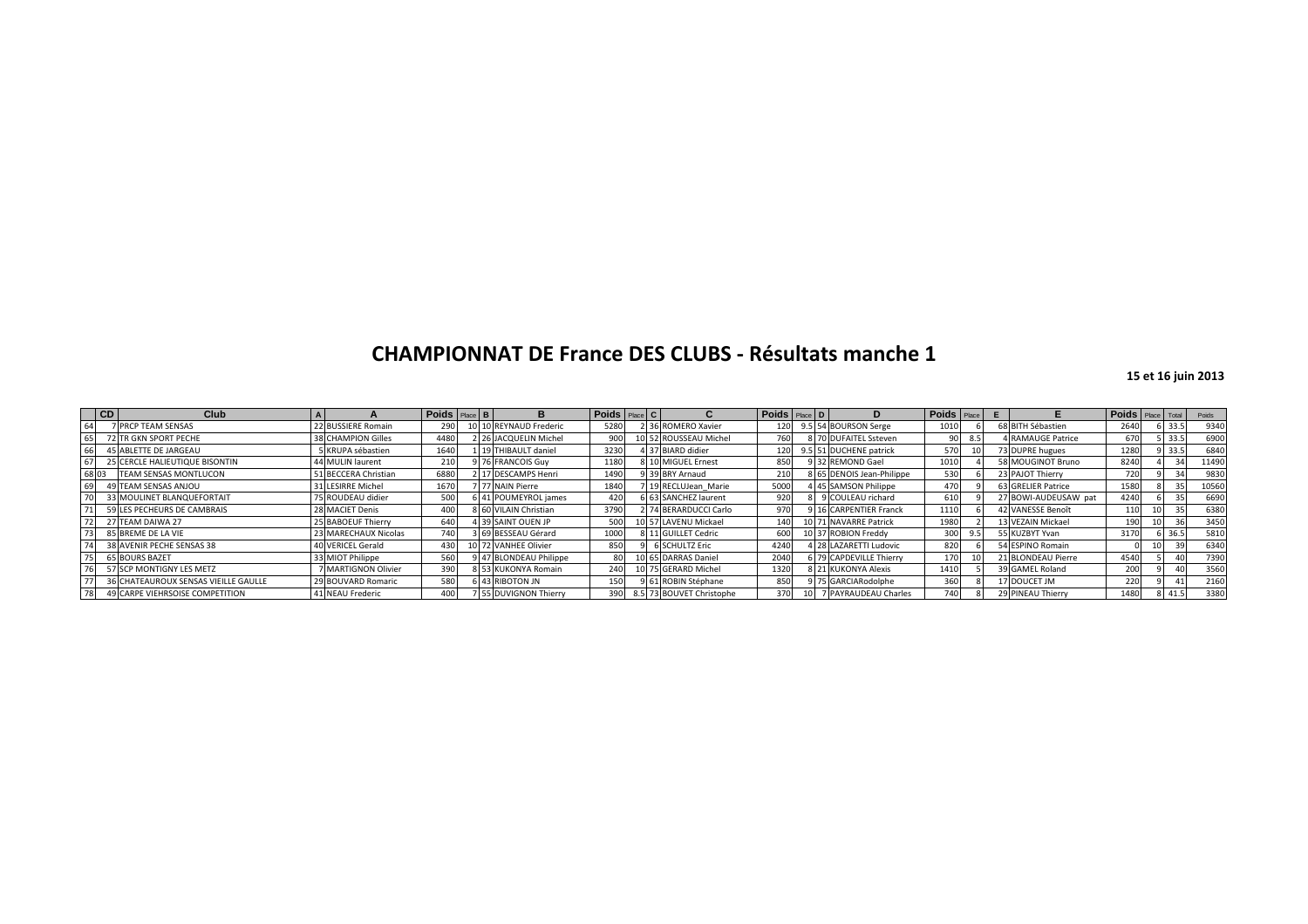|       | CD | Club                                 | $\mathsf{A}$ |                      | Poids Place B |  | в.                     | Poids Place C |  |                              | Poids Place D |                           | Poids Place |     |     |                        | Poids Place Total |      | Poids |
|-------|----|--------------------------------------|--------------|----------------------|---------------|--|------------------------|---------------|--|------------------------------|---------------|---------------------------|-------------|-----|-----|------------------------|-------------------|------|-------|
| 64    |    | <b>7 PRCP TEAM SENSAS</b>            |              | 22 BUSSIERE Romain   | 290           |  | 10 10 REYNAUD Frederic | 5280          |  | 2 36 ROMERO Xavier           | 120           | 9.5 54 BOURSON Serge      | 1010        |     |     | 68 BITH Sébastien      | 2640              | 33.5 | 9340  |
|       |    | 72 TR GKN SPORT PECHE                |              | 38 CHAMPION Gilles   | 4480          |  | 2 26 JACQUELIN Michel  | 900           |  | 10 52 ROUSSEAU Michel        | 760           | 8 70 DUFAITEL Ssteven     |             |     | 8.5 | <b>RAMAUGE Patrice</b> | 670               | 33.5 | 6900  |
|       |    | 45 ABLETTE DE JARGEAU                |              | 5 KRUPA sébastien    | 1640          |  | 1 19 THIBAULT daniel   | 3230          |  | 4 37 BIARD didier            | 120           | 9.5 51 DUCHENE patrick    |             | 570 |     | 73 DUPRE hugues        | 1280              | 33.5 | 6840  |
|       |    | 25 CERCLE HALIEUTIQUE BISONTIN       |              | 44 MULIN laurent     | 210           |  | 76 FRANCOIS Guy        | 1180          |  | 8 10 MIGUEL Ernest           | 850           | 9 32 REMOND Gael          | 1010        |     |     | 58 MOUGINOT Bruno      | 8240              |      | 11490 |
| 68 03 |    | <b>TEAM SENSAS MONTLUCON</b>         |              | 51 BECCERA Christian | 6880          |  | 2 17 DESCAMPS Henri    | 1490          |  | 9 39 BRY Arnaud              | 210           | 8 65 DENOIS Jean-Philippe |             | 530 |     | 23 PAJOT Thierry       | 720               |      | 9830  |
|       |    | 49 TEAM SENSAS ANJOU                 |              | 31 LESIRRE Michel    | 1670          |  | 77 NAIN Pierre         | 1840          |  | 7 19 RECLUJean Marie         | 5000          | 45 SAMSON Philippe        |             | 470 |     | 63 GRELIER Patrice     | 1580              |      | 10560 |
|       |    | 33 MOULINET BLANQUEFORTAIT           |              | 75 ROUDEAU didier    | 500           |  | 6 41 POUMEYROL james   | 420           |  | 6 63 SANCHEZ laurent         | 920           | 9 COULEAU richard         |             | 610 |     | 27 BOWI-AUDEUSAW pat   | 4240              |      | 6690  |
|       |    | 59 LES PECHEURS DE CAMBRAIS          |              | 28 MACIET Denis      | 400           |  | 8 60 VILAIN Christian  | 3790          |  | 2 74 BERARDUCCI Carlo        | 970           | 9 16 CARPENTIER Franck    | 1110        |     |     | 42 VANESSE Benoît      | 110               |      | 6380  |
|       |    | 27 TEAM DAIWA 27                     |              | 25 BABOEUF Thierry   | 640           |  | 4 39 SAINT OUEN JP     | 500           |  | 10 57 LAVENU Mickael         | 140           | 10 71 NAVARRE Patrick     | 1980        |     |     | 13 VEZAIN Mickael      | 190               |      | 3450  |
|       |    | 85 BREME DE LA VIE                   |              | 23 MARECHAUX Nicolas | 740           |  | 3 69 BESSEAU Gérard    | 1000          |  | 8 11 GUILLET Cedric          | 600           | 10 37 ROBION Freddy       |             | 300 | 9.5 | 55 KUZBYT Yvan         | 3170              |      | 5810  |
|       |    | 38 AVENIR PECHE SENSAS 38            |              | 40 VERICEL Gerald    | 430           |  | 10 72 VANHEE Olivier   | 850           |  | <b>6 SCHULTZ Eric</b>        | 4240          | 1 28 LAZARETTI Ludovic    |             | 820 |     | 54 ESPINO Romain       |                   |      | 6340  |
|       |    | <b>65 BOURS BAZET</b>                |              | 33 MIOT Philippe     | 560           |  | 9 47 BLONDEAU Philippe | 80            |  | 10 65 DARRAS Daniel          | 2040          | 6 79 CAPDEVILLE Thierry   |             | 170 |     | 21 BLONDEAU Pierre     | 4540              |      | 7390  |
|       |    | 57 SCP MONTIGNY LES METZ             |              | 7 MARTIGNON Olivier  | 390           |  | 8 53 KUKONYA Romain    | 240           |  | 10 75 GERARD Michel          | 1320          | 8 21 KUKONYA Alexis       | 1410        |     |     | 39 GAMEL Roland        | 200               |      | 3560  |
|       |    | 36 CHATEAUROUX SENSAS VIEILLE GAULLE |              | 29 BOUVARD Romaric   | 580           |  | 6 43 RIBOTON JN        | 150           |  | 9 61 ROBIN Stéphane          | 850           | 9 75 GARCIARodolphe       |             | 360 |     | 17 DOUCET JM           | 220               |      | 2160  |
| 78    |    | 49 CARPE VIEHRSOISE COMPETITION      |              | 41 NEAU Frederic     | 400           |  | 55 DUVIGNON Thierry    |               |  | 390 8.5 73 BOUVET Christophe | 370           | 7 PAYRAUDEAU Charles      |             | 740 |     | 29 PINEAU Thierry      | 1480              |      | 3380  |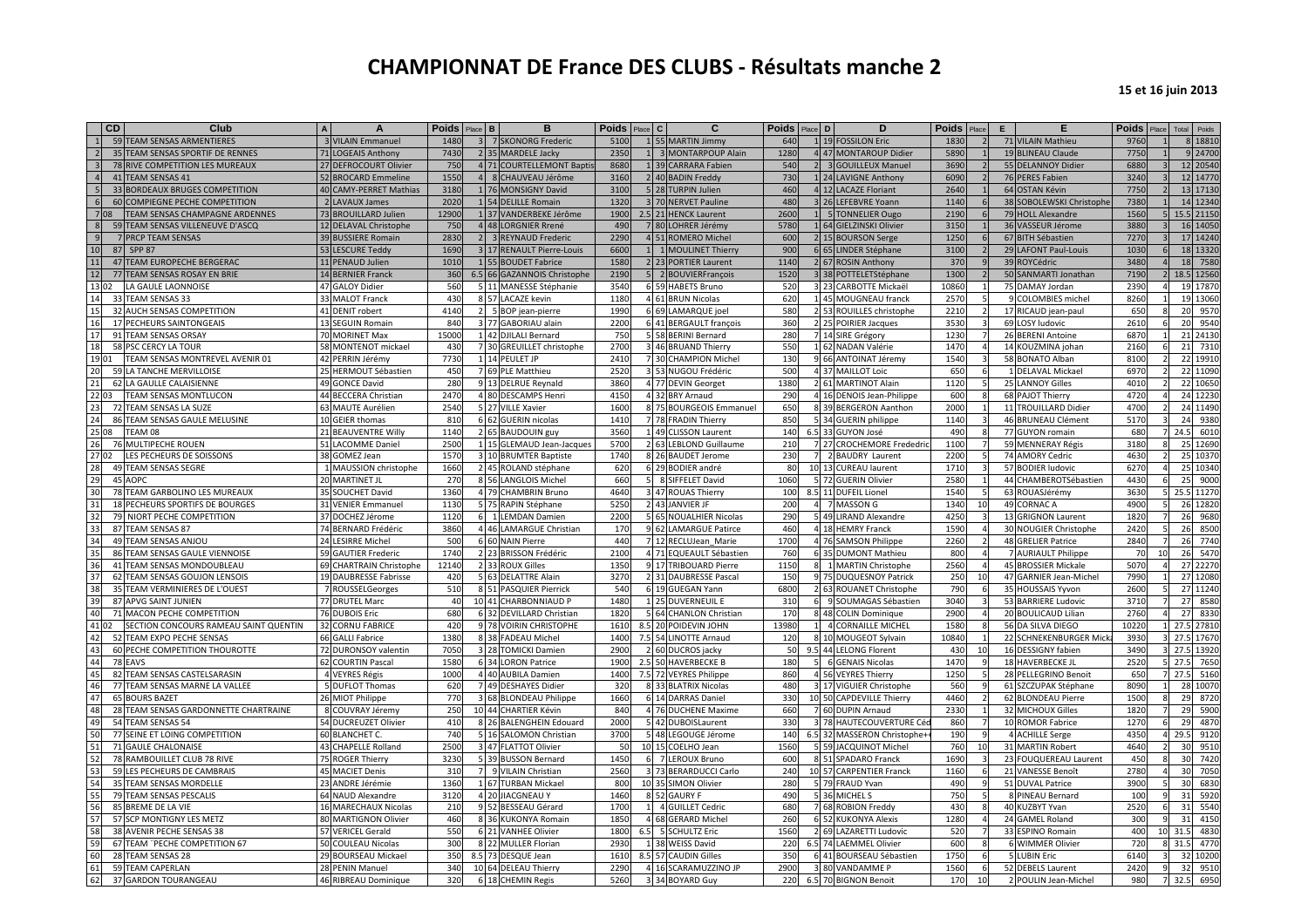|                 | CD    | Club                                  | A                        | <b>Poids</b> Place | B    | R                           | <b>Poids</b> | l c<br>Place | C                       | <b>Poids</b> | Place D  | D                           | <b>Poids</b>          | E. | F                        | <b>Poids</b> |      | Total Poids              |
|-----------------|-------|---------------------------------------|--------------------------|--------------------|------|-----------------------------|--------------|--------------|-------------------------|--------------|----------|-----------------------------|-----------------------|----|--------------------------|--------------|------|--------------------------|
|                 |       | 59 TEAM SENSAS ARMENTIERES            | <b>3 VILAIN Emmanuel</b> | 1480               |      | 3 7 SKONORG Frederic        | 5100         |              | 1 55 MARTIN Jimmy       | 640          |          | 1 19 FOSSILON Eric          | 1830                  |    | 71 VILAIN Mathieu        | 9760         |      | 8 18810                  |
| $\overline{2}$  |       | 35 TEAM SENSAS SPORTIF DE RENNES      | 71 LOGEAIS Anthony       | 7430               |      | 2 35 MARDELE Jacky          | 2350         |              | 1 3 MONTARPOUP Alain    | 1280         |          | 4 47 MONTAROUP Didier       | 5890                  |    | 19 BLINEAU Claude        | 7750         |      | 9 24700                  |
|                 |       | 78 RIVE COMPETITION LES MUREAUX       | 27 DEFROCOURT Olivier    | 750                |      | 4 71 COURTELLEMONT Baptis   | 8680         |              | 1 39 CARRARA Fabien     | 540          |          | 2 3 GOUILLEUX Manuel        | 3690                  |    | 55 DELANNOY Didier       | 6880         |      | 12 20540                 |
|                 |       | 41 TEAM SENSAS 41                     | 52 BROCARD Emmeline      | 1550               |      | 4 8 CHAUVEAU Jérôme         | 3160         |              | 2 40 BADIN Freddy       | 730          |          | 1 24 LAVIGNE Anthony        | 6090                  |    | 76 PERES Fabien          | 3240         |      | 12 14770                 |
| 5 <sub>1</sub>  |       | 33 BORDEAUX BRUGES COMPETITION        | 40 CAMY-PERRET Mathias   | 3180               |      | 1 76 MONSIGNY David         | 3100         |              | 5 28 TURPIN Julien      | 460          |          | 4 12 LACAZE Floriant        | 2640                  |    | 64 OSTAN Kévin           | 7750         |      | 13 17130                 |
| $6\overline{6}$ |       | 60 COMPIEGNE PECHE COMPETITION        | 2 LAVAUX James           | 2020               |      | 1 54 DELILLE Romain         | 1320         |              | 3 70 NERVET Pauline     | 480          |          | 3 26 LEFEBVRE Yoann         | 1140                  |    | 38 SOBOLEWSKI Christophe | 7380         |      | 14 12340                 |
|                 | 708   | <b>TEAM SENSAS CHAMPAGNE ARDENNES</b> | 73 BROUILLARD Julien     | 12900              |      | 1 37 VANDERBEKE Jérôme      | 1900         |              | 2.5 21 HENCK Laurent    | 2600         |          | 1 5 TONNELIER Ougo          | 2190                  |    | 79 HOLL Alexandre        | 1560         |      | 15.5 21150               |
| 8               |       | 59 TEAM SENSAS VILLENEUVE D'ASCO      | 12 DELAVAL Christophe    | 750                |      | 4 48 LORGNIER Rrené         | 490          |              | 7 80 LOHRER Jérémy      | 578C         |          | 1 64 GIELZINSKI Olivier     | 3150                  |    | 36 VASSEUR Jérome        | 3880         |      | 16 14050                 |
| 9               |       | 7 PRCP TEAM SENSAS                    | 39 BUSSIERE Romain       | 2830               |      | 2 3 REYNAUD Frederic        | 2290         |              | 4 51 ROMERO Michel      | 600          |          | 2 15 BOURSON Serge          | 1250                  |    | 67 BITH Sébastien        | 7270         |      | 17 14240                 |
| 10 <sup>1</sup> |       | 87 SPP 87                             | 53 LESCURE Teddy         | 1690               |      | 3 17 RENAULT Pierre-Louis   | 6600         |              | 1 1 MOULINET Thierry    | 900          |          | 6 65 LINDER Stéphane        | 3100                  |    | 29 LAFONT Paul-Louis     | 1030         |      | 18 13320                 |
| 11              |       | 47 TEAM EUROPECHE BERGERAC            | 11 PENAUD Julien         | 1010               | 155  | <b>BOUDET Fabrice</b>       | 1580         |              | 2 23 PORTIER Laurent    | 1140         |          | 2 67 ROSIN Anthony          | 370                   |    | 39 ROYCédric             | 3480         | 18   | 7580                     |
| 12              |       | 77 TEAM SENSAS ROSAY EN BRIE          | 14 BERNIER Franck        | 360                |      | 6.5 66 GAZANNOIS Christophe | 2190         |              | 5 2 BOUVIERFrançois     | 1520         |          | 3 38 POTTELETStéphane       | 1300                  |    | 50 SANMARTI Jonathan     | 7190         |      | 18.5 12560               |
|                 | 13 02 | LA GAULE LAONNOISE                    | 47 GALOY Didier          | 560                |      | 5 11 MANESSE Stéphanie      | 3540         |              | 6 59 HABETS Bruno       | 520          |          | 3 23 CARBOTTE Mickaël       | 10860                 |    | 75 DAMAY Jordan          | 2390         |      | 19 17870                 |
| 14              |       | 33 TEAM SENSAS 33                     | 33 MALOT Franck          | 430                |      | 8 57 LACAZE kevin           | 1180         |              | 4 61 BRUN Nicolas       | 620          |          | 1 45 MOUGNEAU franck        | 2570                  |    | <b>COLOMBIES</b> michel  | 8260         |      | 19 13060                 |
|                 |       | 32 AUCH SENSAS COMPETITION            | 41 DENIT robert          | 4140               |      |                             | 1990         |              |                         | 580          |          |                             | 2210                  |    |                          | 650          | 20   | 9570                     |
|                 |       |                                       |                          | 840                |      | 2 5 BOP jean-pierre         |              |              | 6 69 LAMARQUE joel      | 360          |          | 2 53 ROUILLES christophe    |                       |    | 17 RICAUD jean-paul      |              |      | 9540                     |
| 16              |       | 17 PECHEURS SAINTONGEAIS              | 13 SEGUIN Romain         |                    |      | 3 77 GABORIAU alain         | 2200         |              | 6 41 BERGAULT françois  |              |          | 2 25 POIRIER Jacques        | 3530                  |    | 69 LOSY ludovic          | 2610         | 20   |                          |
| 17              |       | 91 TEAM SENSAS ORSAY                  | 70 MORINET Max           | 15000              |      | 1 42 DJILALI Bernard        | 750          |              | 5 58 BERINI Bernard     | 280          |          | 7 14 SIRE Grégory           | 1230                  |    | 26 BERENI Antoine        | 6870         |      | 21 24130                 |
| 18              |       | 58 PSC CERCY LA TOUR                  | 58 MONTENOT mickael      | 430                |      | 7 30 GREUILLET christophe   | 2700         |              | 3 46 BRUAND Thierry     | 550          |          | 1 62 NADAN Valérie          | 1470                  |    | 14 KOUZMINA johan        | 2160         | 21   | 7310                     |
|                 | 19 01 | TEAM SENSAS MONTREVEL AVENIR 01       | 42 PERRIN Jérémy         | 7730               |      | 1 14 PEULET JP              | 2410         |              | 7 30 CHAMPION Michel    | 130          |          | 9 66 ANTOINAT Jéremy        | 1540                  |    | 58 BONATO Alban          | 8100         |      | 22 19910                 |
| 20              |       | 59 LA TANCHE MERVILLOISE              | 25 HERMOUT Sébastien     | 450                |      | 7 69 PLE Matthieu           | 2520         |              | 3 53 NUGOU Frédéric     | 500          |          | 4 37 MAILLOT Loic           | 650                   |    | 1 DELAVAL Mickael        | 6970         |      | 22 11090                 |
| 21              |       | 62 LA GAULLE CALAISIENNE              | 49 GONCE David           | 280                |      | 9 13 DELRUE Reynald         | 3860         |              | 4 77 DEVIN Georget      | 1380         |          | 2 61 MARTINOT Alain         | 1120                  |    | 25 LANNOY Gilles         | 4010         |      | 22 10650                 |
|                 | 22 03 | TEAM SENSAS MONTLUCON                 | 44 BECCERA Christian     | 2470               |      | 4 80 DESCAMPS Henri         | 4150         |              | 4 32 BRY Arnaud         | 290          |          | 4 16 DENOIS Jean-Philippe   | 600                   |    | 68 PAJOT Thierry         | 4720         |      | 24 12230                 |
| 23              |       | 72 TEAM SENSAS LA SUZE                | 63 MAUTE Aurélien        | 2540               |      | 5 27 VILLE Xavier           | 1600         |              | 8 75 BOURGEOIS Emmanuel | 650          |          | 8 39 BERGERON Aanthon       | 2000                  |    | 11 TROUILLARD Didier     | 4700         |      | 24 11490                 |
| 24              |       | 86 TEAM SENSAS GAULE MELUSINE         | 10 GEIER thomas          | 810                |      | 6 62 GUERIN nicolas         | 1410         |              | 7 78 FRADIN Thierry     | 850          |          | 5 34 GUERIN philippe        | 1140                  |    | 46 BRUNEAU Clément       | 5170         | 24   | 9380                     |
|                 | 25 08 | TEAM 08                               | 21 BEAUVENTRE Willy      | 1140               |      | 2 65 BAUDOUIN guy           | 3560         |              | 1 49 CLISSON Laurent    | 140          |          | 6.5 33 GUYON José           | 490                   |    | 77 GUYON romain          | 680          |      | 24.5 6010                |
| 26              |       | 76 MULTIPECHE ROUEN                   | 51 LACOMME Daniel        | 2500               |      | 1 15 GLEMAUD Jean-Jacques   | 5700         |              | 2 63 LEBLOND Guillaume  | 210          |          | 7 27 CROCHEMORE Frededric   | 1100                  |    | 59 MENNERAY Régis        | 3180         |      | 25 12690                 |
|                 | 27 02 | LES PECHEURS DE SOISSONS              | 38 GOMEZ Jean            | 1570               |      | 3 10 BRUMTER Baptiste       | 1740         |              | 8 26 BAUDET Jerome      | 230          |          | 7 2 BAUDRY Laurent          | 2200                  |    | 74 AMORY Cedric          | 4630         |      | 25 10370                 |
| 28              |       | 49 TEAM SENSAS SEGRE                  | 1 MAUSSION christophe    | 1660               |      | 2 45 ROLAND stéphane        | 620          |              | 6 29 BODIER andré       | 80           |          | 10 13 CUREAU laurent        | 1710                  |    | 57 BODIER ludovic        | 6270         |      | 25 10340                 |
| 29              |       | 45 AOPC                               | 20 MARTINET JL           | 270                |      | 8 56 LANGLOIS Michel        | 660          |              | 5 8 SIFFELET David      | 1060         |          | 5 72 GUERIN Olivier         | 2580                  |    | 44 CHAMBEROTSébastien    | 4430         | 25   | 9000                     |
| 30              |       | 78 TEAM GARBOLINO LES MUREAUX         | 35 SOUCHET David         | 1360               |      | 4 79 CHAMBRIN Bruno         | 4640         |              | 3 47 ROUAS Thierry      | 100          |          | 8.5 11 DUFEIL Lionel        | 1540                  |    | 63 ROUASJérémy           | 3630         |      | 25.5 11270               |
| 31              |       | 18 PECHEURS SPORTIFS DE BOURGES       | 31 VENIER Emmanuel       | 1130               |      | 5 75 RAPIN Stéphane         | 5250         |              | 2 43 JANVIER JF         | 200          |          | 7 MASSON G                  | 1340<br>10            |    | 49 CORNAC A              | 4900         |      | 26 12820                 |
| 32              |       | 79 NIORT PECHE COMPETITION            | 37 DOCHEZ Jérome         | 1120               |      | 6 1 LEMDAN Damien           | 2200         |              | 5 65 NOUALHIER Nicolas  | 290          |          | 5 49 LIRAND Alexandre       | 4250<br>3             |    | 13 GRIGNON Laurent       | 1820         | 26   | 9680                     |
| 33              |       | 87 TEAM SENSAS 87                     | 74 BERNARD Frédéric      | 3860               |      | 4 46 LAMARGUE Christian     | 170          |              | 9 62 LAMARGUE Patirce   | 460          |          | 4 18 HEMRY Franck           | 1590                  |    | 30 NOUGIER Christophe    | 2420         | 26   | 8500                     |
| 34              |       | 49 TEAM SENSAS ANJOU                  | 24 LESIRRE Michel        | 500                |      | 6 60 NAIN Pierre            | 440          |              | 7 12 RECLUJean Marie    | 1700         |          | 4 76 SAMSON Philippe        | 2260                  |    | 48 GRELIER Patrice       | 2840         | 26   | 7740                     |
| 35              |       | 86 TEAM SENSAS GAULE VIENNOISE        | 59 GAUTIER Frederic      | 1740               |      | 2 23 BRISSON Frédéric       | 2100         |              | 4 71 EQUEAULT Sébastien | 760          |          | 6 35 DUMONT Mathieu         | 800<br>$\overline{4}$ |    | 7 AURIAULT Philippe      | 70           | 26   | 5470                     |
| 36              |       | 41 TEAM SENSAS MONDOUBLEAU            | 69 CHARTRAIN Christophe  | 12140              |      | 2 33 ROUX Gilles            | 1350         |              | 9 17 TRIBOUARD Pierre   | 115C         |          | 1 MARTIN Christophe         | 2560                  |    | 45 BROSSIER Mickale      | 5070         |      | 27 22270                 |
|                 |       | 62 TEAM SENSAS GOUJON LENSOIS         | 19 DAUBRESSE Fabrisse    | 420                |      | 5 63 DELATTRE Alain         | 3270         |              | 2 31 DAUBRESSE Pascal   | 150          |          | 9 75 DUQUESNOY Patrick      | 250<br>10             |    | 47 GARNIER Jean-Michel   | 7990         |      | 27 12080                 |
| 38              |       | 35 TEAM VERMINIERES DE L'OUEST        | 7 ROUSSELGeorges         | 510                |      | 8 51 PASQUIER Pierrick      | 540          |              | 6 19 GUEGAN Yann        | 6800         |          | 2 63 ROUANET Christophe     | 790<br>6              |    | 35 HOUSSAIS Yyvon        | 2600         |      | 27 11240                 |
| 39              |       | 87 APVG SAINT JUNIEN                  | 77 DRUTEL Marc           | 40                 |      | 10 41 CHARBONNIAUD P        | 1480         |              | 1 25 DUVERNEUIL E       | 310          | $6 \mid$ | 9 SOUMAGAS Sébastien        | 3040                  |    | 53 BARRIERE Ludovic      | 3710         | 27   | 8580                     |
| 40              |       | 71 MACON PECHE COMPETITION            | 76 DUBOIS Eric           | 680                |      | 6 32 DEVILLARD Christian    | 1820         |              | 5 64 CHANLON Christian  | 170          |          | 8 48 COLIN Dominique        | 2900                  |    | 20 BOULICAUD Lilian      | 2760         | 27   | 8330                     |
|                 | 41 02 | SECTION CONCOURS RAMEAU SAINT QUENTIN | <b>32 CORNU FABRICE</b>  | 420                |      | 9 78 VOIRIN CHRISTOPHE      |              |              |                         | 13980        |          |                             | 1580                  |    | 56 DA SILVA DIEGO        | 10220        |      |                          |
| 42              |       |                                       | 66 GALLI Fabrice         | 1380               |      |                             | 1610         |              | 8.5 20 POIDEVIN JOHN    | 120          |          | 4 CORNAILLE MICHEL          |                       |    | 22 SCHNEKENBURGER Mick   |              |      | 27.5 27810<br>27.5 17670 |
|                 |       | 52 TEAM EXPO PECHE SENSAS             |                          |                    |      | 8 38 FADEAU Michel          | 1400         |              | 7.5 54 LINOTTE Arnaud   |              |          | 8 10 MOUGEOT Sylvain        | 10840                 |    |                          | 3930         |      |                          |
| 43              |       | 60 PECHE COMPETITION THOUROTTE        | 72 DURONSOY valentin     | 7050               |      | 3 28 TOMICKI Damien         | 2900<br>1900 |              | 2 60 DUCROS jacky       | 50           |          | 9.5 44 LELONG Florent       | 430<br>10             |    | 16 DESSIGNY fabien       | 3490         | 27.5 | 13920                    |
| 44              |       | 78 EAVS                               | 62 COURTIN Pascal        | 1580               | 6 34 | LORON Patrice               |              |              | 2.5 50 HAVERBECKE B     | 180          |          | 6 GENAIS Nicolas            | 1470                  |    | 18 HAVERBECKE JL         | 2520         | 27.5 | 7650                     |
| 45              |       | 82 TEAM SENSAS CASTELSARASIN          | 4 VEYRES Régis           | 1000               |      | 4 40 AUBILA Damien          | 1400         |              | 7.5 72 VEYRES Philippe  | 860          |          | 4 56 VEYRES Thierry         | 1250                  |    | 28 PELLEGRINO Benoit     | 650<br>8090  | 27.5 | 5160                     |
| 46              |       | 77 TEAM SENSAS MARNE LA VALLEE        | 5 DUFLOT Thomas          | 620                |      | 7 49 DESHAYES Didier        | 320          |              | 8 33 BLATRIX Nicolas    | 480          |          | 3 17 VIGUIER Christophe     | 560                   |    | 61 SZCZUPAK Stéphane     |              |      | 28 10070                 |
| 47              |       | <b>65 BOURS BAZET</b>                 | 26 MIOT Philippe         | 770                |      | 3 68 BLONDEAU Philippe      | 1660         |              | 6 14 DARRAS Daniel      | 330          |          | 10 50 CAPDEVILLE Thierry    | 4460                  |    | 62 BLONDEAU Pierre       | 1500         | 29   | 8720                     |
| 48              |       | 28 TEAM SENSAS GARDONNETTE CHARTRAINE | 8 COUVRAY Jéremy         | 250                |      | 10 44 CHARTIER Kévin        | 840          |              | 4 76 DUCHENE Maxime     | 660          |          | 7 60 DUPIN Arnaud           | 2330                  |    | 32 MICHOUX Gilles        | 1820         | 29   | 5900                     |
| 49              |       | 54 TEAM SENSAS 54                     | 54 DUCREUZET Olivier     | 410                |      | 8 26 BALENGHEIN Edouard     | 2000         |              | 5 42 DUBOISLaurent      | 330          |          | 3 78 HAUTECOUVERTURE Cé     | 860<br>$\overline{7}$ |    | 10 ROMOR Fabrice         | 1270         | 29   | 4870                     |
| 50              |       | 77 SEINE ET LOING COMPETITION         | 60 BLANCHET C.           | 740                |      | 5 16 SALOMON Christian      | 3700         |              | 5 48 LEGOUGE Jérome     | 140          |          | 6.5 32 MASSERON Christophe+ | 190<br><sub>9</sub>   |    | 4 ACHILLE Serge          | 4350         | 29.5 | 9120                     |
| 51              |       | 71 GAULE CHALONAISE                   | 43 CHAPELLE Rolland      | 2500               |      | 3 47 FLATTOT Olivier        | 50           |              | 10 15 COELHO Jean       | 1560         |          | 5 59 JACQUINOT Michel       | 760<br>10             |    | 31 MARTIN Robert         | 4640         | 30   | 9510                     |
| 52              |       | 78 RAMBOUILLET CLUB 78 RIVE           | 75 ROGER Thierry         | 3230               |      | 5 39 BUSSON Bernard         | 1450         |              | 6 7 LEROUX Bruno        | 600          |          | 8 51 SPADARO Franck         | 1690                  |    | 23 FOUQUEREAU Laurent    | 450          | 30   | 7420                     |
| 53              |       | 59 LES PECHEURS DE CAMBRAIS           | 45 MACIET Denis          | 310                |      | 7 9 VILAIN Christian        | 2560         |              | 3 73 BERARDUCCI Carlo   | 240          |          | 10 57 CARPENTIER Franck     | 1160                  |    | 21 VANESSE Benoît        | 2780         | 30   | 7050                     |
| 54              |       | 35 TEAM SENSAS MORDELLE               | 23 ANDRE Jérémie         | 1360               |      | 1 67 TURBAN Mickael         | 800          |              | 10 35 SIMON Olivier     | 280          |          | 5 79 FRAUD Yvan             | 490                   |    | 51 DUVAL Patrice         | 3900         | 30   | 6830                     |
|                 |       | 79 TEAM SENSAS PESCALIS               | 64 NAUD Alexandre        | 3120               |      | 4 20 JIACGNEAU Y            | 1460         |              | 8 52 GAURY F            | 490          |          | MICHEL S                    | 750                   |    | 8 PINEAU Bernard         | 100          | 31   | 5920                     |
| 56              |       | 85 BREME DE LA VIE                    | 16 MARECHAUX Nicolas     | 210                |      | 9 52 BESSEAU Gérard         | 1700         |              | 1 4 GUILLET Cedric      | 680          |          | 7 68 ROBION Freddy          | 430                   |    | 40 KUZBYT Yvan           | 2520         | 31   | 5540                     |
|                 |       | 57 SCP MONTIGNY LES METZ              | 80 MARTIGNON Olivier     | 460                |      | 8 36 KUKONYA Romain         | 1850         |              | 4 68 GERARD Michel      | 260          |          | 6 52 KUKONYA Alexis         | 1280                  |    | 24 GAMEL Roland          | 300          | 31   | 4150                     |
|                 |       | 38 AVENIR PECHE SENSAS 38             | 57 VERICEL Gerald        | 550                |      | 6 21 VANHEE Olivier         | 1800         |              | 6.5 5 SCHULTZ Eric      | 1560         |          | LAZARETTI Ludovic           | 520                   |    | 33 ESPINO Romain         | 400          | 31.5 | 4830                     |
|                 |       | 67 TEAM "PECHE COMPETITION 67         | 50 COULEAU Nicolas       | 300                |      | 8 22 MULLER Florian         | 2930         |              | 1 38 WEISS David        | 220          |          | 6.5 74 LAEMMEL Olivier      | 600                   |    | 6 WIMMER Olivier         | 720          | 31.5 | 4770                     |
| 60              |       | 28 TEAM SENSAS 28                     | 29 BOURSEAU Mickael      | 350                |      | 8.5 73 DESQUE Jean          | 1610         |              | 8.5 57 CAUDIN Gilles    | 350          |          | 6 41 BOURSEAU Sébastien     | 1750<br>6             |    | 5 LUBIN Eric             | 6140         |      | 32 10200                 |
| 61              |       | 59 TEAM CAPERLAN                      | 28 PENIN Manuel          | 340                |      | 10 64 DELEAU Thierry        | 2290         |              | 4 16 SCARAMUZZINO JP    | 2900         |          | 3 80 VANDAMME P             | 1560                  |    | 52 DEBELS Laurent        | 2420         | 32   | 9510                     |
| 62              |       | 37 GARDON TOURANGEAU                  | 46 RIBREAU Dominique     | 320                |      | 6 18 CHEMIN Regis           | 5260         |              | 3 34 BOYARD Guy         | 220          |          | 6.5 70 BIGNON Benoit        | 170<br>10             |    | 2 POULIN Jean-Michel     | 980          | 32.5 | 6950                     |
|                 |       |                                       |                          |                    |      |                             |              |              |                         |              |          |                             |                       |    |                          |              |      |                          |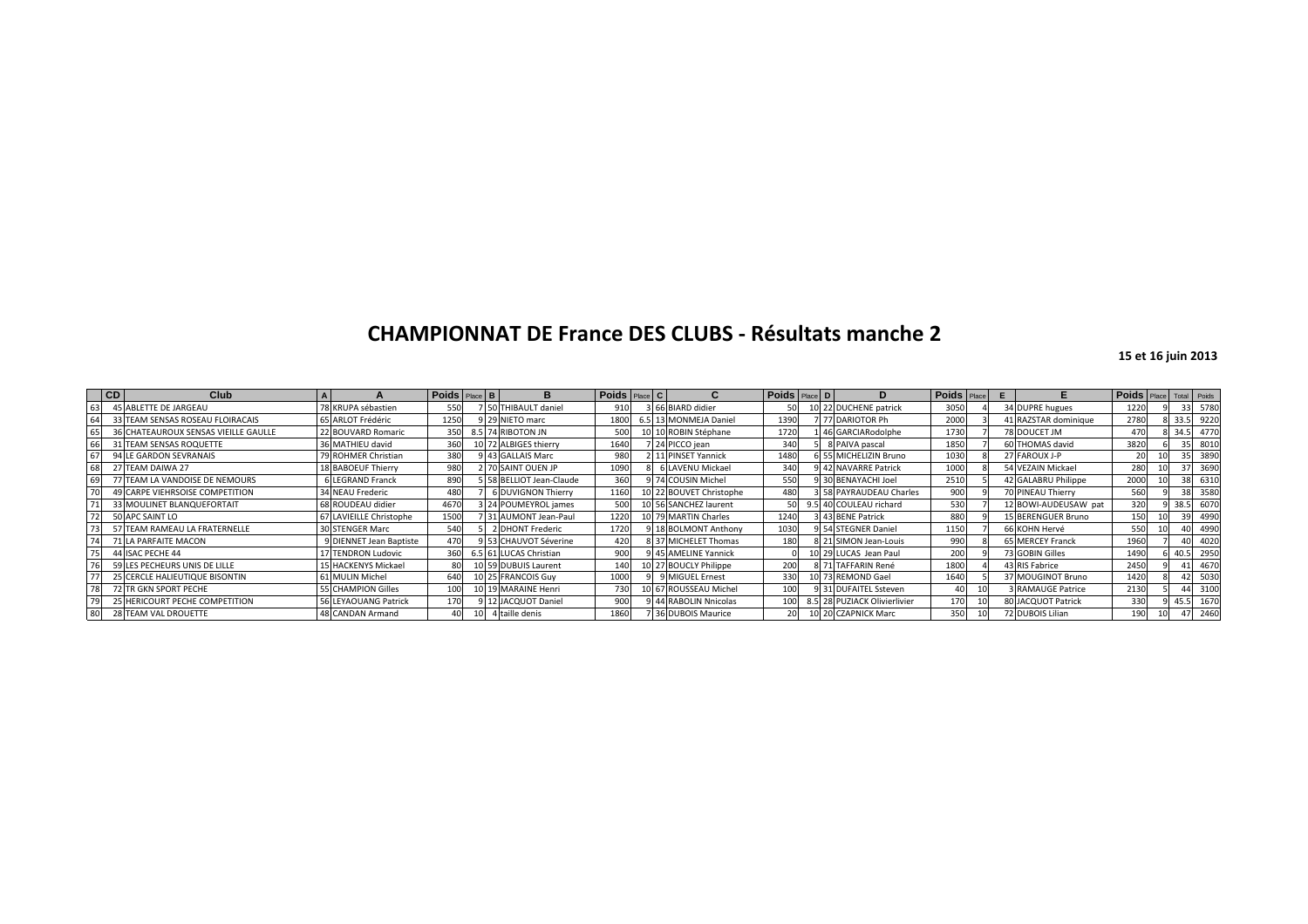| CD | Club                                 |                         | <b>Poids</b> Place B |  | в                         | Poids Place C |                         | Poids Place D | D                              | <b>Poids</b> Place | Е |                      | Poids Place Total Poids |                 |      |
|----|--------------------------------------|-------------------------|----------------------|--|---------------------------|---------------|-------------------------|---------------|--------------------------------|--------------------|---|----------------------|-------------------------|-----------------|------|
| 63 | 45 ABLETTE DE JARGEAU                | 78 KRUPA sébastien      | 550                  |  | THIBAULT daniel           | 910           | 3 66 BIARD didier       | 50            | 0 22 DUCHENE patrick           | 3050               |   | 34 DUPRE hugues      | 1220                    | 33              | 5780 |
| 64 | 33 TEAM SENSAS ROSEAU FLOIRACAIS     | 65 ARLOT Frédéric       | 1250                 |  | 29 NIETO marc             | 1800          | 6.5 13 MONMEJA Daniel   | 1390          | 77 DARIOTOR Ph                 | 2000               |   | 41 RAZSTAR dominique | 2780                    | 33.             | 9220 |
| 65 | 36 CHATEAUROUX SENSAS VIEILLE GAULLE | 22 BOUVARD Romaric      | 350                  |  | 8.5 74 RIBOTON JN         | 500           | 10 10 ROBIN Stéphane    | 1720          | 1 46 GARCIARodolphe            | 1730               |   | 78 DOUCET JM         | 470                     | 34.5            | 4770 |
| 66 | 31 TEAM SENSAS ROQUETTE              | 36 MATHIEU david        | 360                  |  | 10 72 ALBIGES thierry     | 1640          | 7 24 PICCO jean         | 340           | 8 PAIVA pascal                 | 1850               |   | 60 THOMAS david      | 3820                    | 35              | 8010 |
| 67 | 94 LE GARDON SEVRANAIS               | ROHMER Christian        | 380                  |  | 43 GALLAIS Marc           | 980           | 2 11 PINSET Yannick     | 1480          | 5 55 MICHELIZIN Bruno          | 1030               |   | 27 FAROUX J-P        |                         | 35 <sup>1</sup> | 3890 |
| 68 | 27 TEAM DAIWA 27                     | 18 BABOEUF Thierry      | 980                  |  | <b>2 70 SAINT OUEN JP</b> | 1090          | <b>6 LAVENU Mickael</b> | 340           | 42 NAVARRE Patrick             | 1000               |   | 54 VEZAIN Mickael    | 280                     | 37              | 3690 |
| 69 | 77 TEAM LA VANDOISE DE NEMOURS       | <b>6 LEGRAND Franck</b> | 890                  |  | 58 BELLIOT Jean-Claude    | 360           | 9 74 COUSIN Michel      | 550           | 30 BENAYACHI Joel              | 2510               |   | 42 GALABRU Philippe  | 2000                    | 38              | 6310 |
| 70 | 49 CARPE VIEHRSOISE COMPETITION      | 34 NEAU Frederic        | 480                  |  | <b>SOUVIGNON Thierry</b>  | 1160          | 10 22 BOUVET Christophe | 480           | <b>3 58 PAYRAUDEAU Charles</b> | 900                |   | 70 PINEAU Thierry    | 560                     | 38              | 3580 |
| 71 | 33 MOULINET BLANQUEFORTAIT           | 68 ROUDEAU didier       | 4670                 |  | 3 24 POUMEYROL james      | 500           | 10 56 SANCHEZ laurent   |               | 5 40 COULEAU richard           | 530                |   | 12 BOWI-AUDEUSAW pat | 320                     | 38.5            | 6070 |
| 72 | 50 APC SAINT LO                      | 67 LAVIEILLE Christophe | 1500                 |  | 31 AUMONT Jean-Paul       | 1220          | 10 79 MARTIN Charles    | 1240          | 43 BENE Patrick                | 880                |   | 15 BERENGUER Bruno   | 150                     | 39              | 4990 |
| 73 | 57 TEAM RAMEAU LA FRATERNELLE        | 30 STENGER Marc         | 540                  |  | 2 DHONT Frederic          | 1720          | 9 18 BOLMONT Anthony    | 1030          | <b>3 54 STEGNER Daniel</b>     | 1150               |   | 66 KOHN Hervé        | 550                     |                 | 4990 |
| 74 | 71 LA PARFAITE MACON                 | 9 DIENNET Jean Baptiste | 470                  |  | 53 CHAUVOT Séverine       | 420           | 8 37 MICHELET Thomas    | 180           | 8 21 SIMON Jean-Louis          | 990                |   | 65 MERCEY Franck     | 1960                    |                 | 4020 |
| 75 | 44 ISAC PECHE 44                     | 17 TENDRON Ludovic      | 360                  |  | 6.5 61 LUCAS Christian    | 900           | 9 45 AMELINE Yannick    |               | 10 29 LUCAS Jean Paul          | 200                |   | 73 GOBIN Gilles      | 1490                    | 40.5            | 2950 |
| 76 | 59 LES PECHEURS UNIS DE LILLE        | 15 HACKENYS Mickael     | 80                   |  | 10 59 DUBUIS Laurent      | 140           | 10 27 BOUCLY Philippe   | 200           | 8 71 TAFFARIN René             | 1800               |   | 43 RIS Fabrice       | 2450                    |                 | 4670 |
| 77 | 25 CERCLE HALIEUTIQUE BISONTIN       | 61 MULIN Michel         | 640                  |  | 10 25 FRANCOIS Guy        | 1000          | 9 MIGUEL Ernest         | 330           | 10 73 REMOND Gael              | 1640               |   | 37 MOUGINOT Bruno    | 1420                    |                 | 5030 |
| 78 | 72 TR GKN SPORT PECHE                | 55 CHAMPION Gilles      | 100                  |  | 10 19 MARAINE Henri       | 730           | 10 67 ROUSSEAU Michel   | 100           | 9 31 DUFAITEL Ssteven          |                    |   | 3 RAMAUGE Patrice    | 2130                    |                 | 3100 |
| 79 | 25 HERICOURT PECHE COMPETITION       | 56 LEYAOUANG Patrick    | 170                  |  | 9 12 JACQUOT Daniel       | 900           | 9 44 RABOLIN Nnicolas   | 100           | 8.5 28 PUZIACK Olivierlivier   | 170                |   | 80 JACQUOT Patrick   | 330                     | 45.5            | 1670 |
| 80 | 28 TEAM VAL DROUETTE                 | 48 CANDAN Armand        |                      |  | 4 taille denis            | 1860          | 7 36 DUBOIS Maurice     | 20            | 10 20 CZAPNICK Marc            | 350                |   | 72 DUBOIS Lilian     | 190                     |                 | 2460 |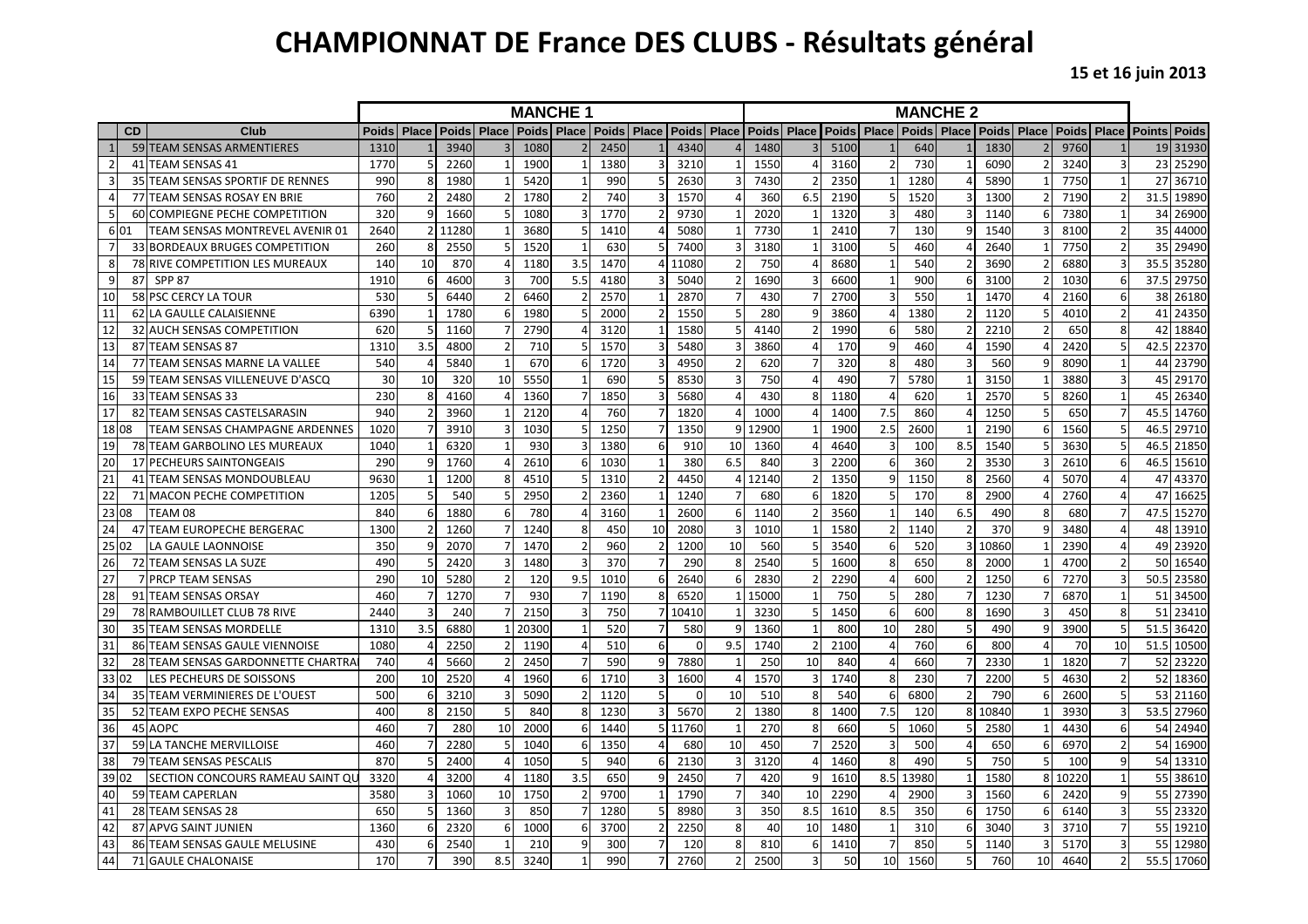# **CHAMPIONNAT DE France DES CLUBS - Résultats général**

|                |           |                                       | <b>MANCHE 1</b><br><b>Place   Poids   Place</b><br>Poids Place |                         |                 |       |              |                |                 |                |          |     |       | <b>MANCHE 2</b> |              |               |              |                              |       |                         |             |    |               |              |
|----------------|-----------|---------------------------------------|----------------------------------------------------------------|-------------------------|-----------------|-------|--------------|----------------|-----------------|----------------|----------|-----|-------|-----------------|--------------|---------------|--------------|------------------------------|-------|-------------------------|-------------|----|---------------|--------------|
|                | <b>CD</b> | Club                                  | Poids Place                                                    |                         | <b>Poids</b>    | Place | <b>Poids</b> |                |                 |                |          |     |       | Poids Place     | <b>Poids</b> | Place         | <b>Poids</b> | <b>Place   Poids   Place</b> |       |                         | Poids Place |    | <b>Points</b> | <b>Poids</b> |
|                |           | 59 TEAM SENSAS ARMENTIERES            | 1310                                                           |                         | 3940            |       | 1080         |                | 2450            |                | 4340     |     | 1480  |                 | 5100         |               | 640          |                              | 1830  |                         | 9760        |    | 19            | 31930        |
| $\overline{2}$ |           | 41 TEAM SENSAS 41                     | 1770                                                           |                         | 2260            |       | 1900         | -1             | 1380            | 3              | 3210     |     | 1550  |                 | 3160         |               | 730          |                              | 6090  |                         | 3240        |    | 23            | 25290        |
| $\overline{3}$ |           | 35 TEAM SENSAS SPORTIF DE RENNES      | 990                                                            |                         | 1980            |       | 5420         | $\mathbf{1}$   | 99 <sub>C</sub> | 5              | 2630     |     | 7430  |                 | 2350         |               | 1280         | 4                            | 5890  |                         | 7750        |    | 27            | 36710        |
| $\overline{4}$ |           | 77 TEAM SENSAS ROSAY EN BRIE          | 760                                                            |                         | 2480            |       | 1780         | $\overline{2}$ | 740             |                | 1570     |     | 360   | 6.5             | 2190         |               | 1520         | 3                            | 1300  |                         | 7190        |    | 31.5          | 19890        |
| 5              | 60        | <b>COMPIEGNE PECHE COMPETITION</b>    | 320                                                            |                         | 1660            |       | 1080         | $\overline{3}$ | 1770            |                | 9730     |     | 2020  |                 | 1320         |               | 480          | 3                            | 1140  | 6                       | 7380        |    | 34            | 26900        |
| 6 01           |           | TEAM SENSAS MONTREVEL AVENIR 01       | 2640                                                           | 2 <sup>1</sup>          | 11280           |       | 3680         | 5              | 1410            |                | 5080     |     | 7730  |                 | 2410         |               | 130          | 9                            | 1540  |                         | 8100        |    | 35            | 44000        |
| $\overline{7}$ |           | 33 BORDEAUX BRUGES COMPETITION        | 260                                                            | 8                       | 2550            |       | 1520         | 1              | 630             | 5              | 7400     |     | 3180  |                 | 3100         |               | 460          | 4                            | 2640  |                         | 7750        |    | 35            | 29490        |
| 8              | 78        | RIVE COMPETITION LES MUREAUX          | 140                                                            | 10                      | 870             |       | 1180         | 3.5            | 1470            | Δ              | 11080    |     | 750   |                 | 8680         |               | 540          | $\overline{2}$               | 3690  |                         | 6880        |    | 35.5          | 35280        |
| 9              | 87        | <b>SPP 87</b>                         | 1910                                                           | 6                       | 4600            |       | 700          | 5.5            | 4180            |                | 5040     |     | 1690  |                 | 6600         |               | 900          | 6                            | 3100  |                         | 1030        |    | 37.5          | 29750        |
| 10             |           | 58 PSC CERCY LA TOUR                  | 530                                                            |                         | 6440            |       | 6460         | $\overline{2}$ | 2570            |                | 2870     |     | 430   |                 | 2700         |               | 550          | $\mathbf{1}$                 | 1470  |                         | 2160        |    | 38            | 26180        |
| 11             | 62        | LA GAULLE CALAISIENNE                 | 6390                                                           |                         | 1780            |       | 1980         | 5              | 2000            | $\mathcal{I}$  | 1550     | 5   | 280   | q               | 3860         |               | 1380         | $\overline{2}$               | 1120  |                         | 4010        |    | 41            | 24350        |
| 12             |           | 32 AUCH SENSAS COMPETITION            | 620                                                            |                         | 1160            |       | 2790         |                | 3120            |                | 1580     |     | 4140  |                 | 1990         |               | 580          |                              | 2210  |                         | 650         |    | 42            | 18840        |
| 13             | 87        | <b>TEAM SENSAS 87</b>                 | 1310                                                           | 3.5                     | 4800            |       | 710          | 5              | 1570            |                | 5480     |     | 3860  |                 | 170          | q             | 460          | Δ                            | 1590  |                         | 2420        |    | 42.5          | 22370        |
| 14             | 77        | TEAM SENSAS MARNE LA VALLEE           | 540                                                            |                         | 5840            |       | 670          | 6              | 1720            |                | 4950     |     | 620   |                 | 320          |               | 480          | 3                            | 560   |                         | 8090        |    | 44            | 23790        |
| 15             |           | 59 TEAM SENSAS VILLENEUVE D'ASCQ      | 30                                                             | 10                      | 320             | 10    | 5550         | 1              | 690             | 5              | 8530     |     | 750   |                 | 490          |               | 5780         | $\mathbf{1}$                 | 3150  |                         | 3880        |    | 45            | 29170        |
| 16             | 33        | <b>TEAM SENSAS 33</b>                 | 230                                                            | 8                       | 4160            |       | 1360         | $\overline{7}$ | 1850            |                | 5680     |     | 430   |                 | 1180         |               | 620          |                              | 2570  |                         | 8260        |    | 45            | 26340        |
| 17             | 82        | TEAM SENSAS CASTELSARASIN             | 940                                                            |                         | 3960            |       | 2120         | 4              | 760             |                | 1820     |     | 1000  |                 | 1400         | 7.5           | 860          | Δ                            | 1250  |                         | 650         |    | 45.5          | 14760        |
| 18 08          |           | <b>TEAM SENSAS CHAMPAGNE ARDENNES</b> | 1020                                                           |                         | 3910            |       | 1030         | 5              | 1250            |                | 1350     |     | 12900 |                 | 1900         | 2.5           | 2600         |                              | 2190  |                         | 1560        |    | 46.5          | 29710        |
| 19             |           | 78 TEAM GARBOLINO LES MUREAUX         | 1040                                                           |                         | 6320            |       | 930          | 3              | 1380            | -6             | 910      | 10  | 1360  |                 | 4640         |               | 100          | 8.5                          | 1540  |                         | 3630        |    | 46.5          | 21850        |
| 20             |           | 17 PECHEURS SAINTONGEAIS              | 290                                                            | 9                       | 1760            |       | 2610         | 6              | 1030            | $\overline{1}$ | 380      | 6.5 | 840   |                 | 2200         | 6             | 360          | $\overline{2}$               | 3530  |                         | 2610        |    | 46.5          | 15610        |
| 21             | 41        | TEAM SENSAS MONDOUBLEAU               | 9630                                                           |                         | 1200            |       | 4510         | 5              | 1310            |                | 4450     |     | 12140 |                 | 1350         |               | 1150         | 8                            | 2560  |                         | 5070        |    | 47            | 4337C        |
| 22             | 71        | <b>MACON PECHE COMPETITION</b>        | 1205                                                           |                         | 54 <sub>C</sub> |       | 2950         | $\mathcal{P}$  | 2360            |                | 1240     |     | 68C   |                 | 1820         |               | 170          | 8                            | 2900  |                         | 2760        |    | 47            | 16625        |
| 23 08          |           | TEAM 08                               | 840                                                            | 6                       | 1880            |       | 780          |                | 3160            | - 1            | 2600     | 6   | 1140  |                 | 3560         |               | 140          | 6.5                          | 490   | 8                       | 680         |    | 47.5          | 15270        |
| 24             |           | 47 TEAM EUROPECHE BERGERAC            | 1300                                                           |                         | 1260            |       | 1240         | 8              | 450             | 10             | 2080     | ξ   | 1010  |                 | 1580         | $\mathcal{P}$ | 1140         | $\overline{2}$               | 370   | q                       | 3480        |    | 48            | 13910        |
| 25 02          |           | LA GAULE LAONNOISE                    | 350                                                            | q                       | 2070            |       | 1470         | $\overline{2}$ | 960             | -2             | 1200     | 10  | 560   |                 | 3540         |               | 520          | $\overline{3}$               | 10860 |                         | 2390        |    | 49            | 23920        |
| 26             |           | 72 TEAM SENSAS LA SUZE                | 490                                                            |                         | 2420            |       | 1480         | 3              | 370             |                | 290      | 8   | 2540  |                 | 1600         | 8             | 650          | 8                            | 2000  |                         | 4700        |    | 50            | 16540        |
| 27             |           | PRCP TEAM SENSAS                      | 290                                                            | 10                      | 5280            |       | 120          | 9.5            | 1010            | -6             | 2640     |     | 2830  |                 | 2290         |               | 600          | $\overline{2}$               | 1250  | 6                       | 7270        |    | 50.5          | 23580        |
| 28             | 91        | <b>TEAM SENSAS ORSAY</b>              | 460                                                            |                         | 1270            |       | 930          | 7              | 1190            | 8              | 6520     |     | 15000 |                 | 750          |               | 280          | 7                            | 1230  |                         | 6870        |    | 51            | 34500        |
| 29             |           | 78 RAMBOUILLET CLUB 78 RIVE           | 2440                                                           | $\overline{\mathbf{3}}$ | 240             |       | 2150         | $\overline{3}$ | 750             | $\overline{7}$ | 10410    |     | 3230  | 5               | 1450         |               | 600          | 8                            | 1690  | $\overline{\mathbf{3}}$ | 450         |    | 51            | 23410        |
| 30             |           | <b>35 TEAM SENSAS MORDELLE</b>        | 1310                                                           | 3.5                     | 6880            |       | 20300        | $\mathbf{1}$   | 520             |                | 580      |     | 1360  |                 | 800          | 10            | 280          | 5                            | 490   | q                       | 3900        |    | 51.5          | 36420        |
| 31             | 86        | TEAM SENSAS GAULE VIENNOISE           | 1080                                                           |                         | 2250            |       | 1190         | $\overline{4}$ | 510             | 6              | $\Omega$ | 9.5 | 1740  |                 | 2100         |               | 760          | 6                            | 800   |                         | 70          | 10 | 51.5          | 10500        |
| 32             | 28        | TEAM SENSAS GARDONNETTE CHARTRA       | 740                                                            |                         | 5660            |       | 2450         | $\overline{7}$ | 590             | C              | 7880     |     | 250   | 10              | 840          |               | 660          | $\overline{7}$               | 2330  |                         | 1820        |    | 52            | 23220        |
| 33 02          |           | <b>LES PECHEURS DE SOISSONS</b>       | 200                                                            | 10                      | 2520            |       | 1960         | 6              | 1710            | $\overline{a}$ | 1600     |     | 1570  |                 | 1740         |               | 230          | $\overline{7}$               | 2200  |                         | 4630        |    | 52            | 18360        |
| 34             |           | 35 TEAM VERMINIERES DE L'OUEST        | 500                                                            |                         | 3210            |       | 5090         | $\overline{2}$ | 1120            | 5              | $\Omega$ | 10  | 510   | 8               | 540          |               | 6800         | $\overline{2}$               | 790   |                         | 2600        |    | 53            | 21160        |
| 35             |           | 52 TEAM EXPO PECHE SENSAS             | 400                                                            |                         | 2150            |       | 840          | 8              | 1230            |                | 5670     |     | 1380  |                 | 1400         | 7.5           | 120          | 8                            | 10840 |                         | 3930        |    | 53.5          | 27960        |
| 36             | 45        | <b>AOPC</b>                           | 460                                                            |                         | 280             | 10    | 2000         | 6              | 1440            | 5              | 11760    |     | 270   |                 | 660          |               | 1060         | 5                            | 2580  |                         | 4430        |    | 54            | 24940        |
| 37             | 59        | LA TANCHE MERVILLOISE                 | 460                                                            |                         | 2280            |       | 1040         | 6              | 1350            |                | 680      | 10  | 450   |                 | 2520         |               | 500          | Δ                            | 650   |                         | 6970        |    | 54            | 16900        |
| 38             | 79        | <b>TEAM SENSAS PESCALIS</b>           | 870                                                            |                         | 2400            |       | 1050         | 5              | 940             | -6             | 2130     |     | 3120  |                 | 1460         | я             | 490          | 5                            | 750   | 5                       | 100         |    | 54            | 13310        |
| 39 02          |           | SECTION CONCOURS RAMEAU SAINT QU      | 3320                                                           |                         | 3200            |       | 1180         | 3.5            | 650             |                | 2450     |     | 420   |                 | 1610         | 8.5           | 13980        | $\mathbf{1}$                 | 1580  | $\mathbf{8}$            | 10220       |    | 55            | 38610        |
| 40             |           | 59 TEAM CAPERLAN                      | 3580                                                           |                         | 1060            | 10    | 1750         |                | 9700            |                | 1790     |     | 340   | 10              | 2290         |               | 2900         | 3                            | 1560  | 6                       | 2420        |    | 55            | 27390        |
| 41             |           | 28 TEAM SENSAS 28                     | 650                                                            |                         | 1360            |       | 850          | $\overline{7}$ | 1280            | -5             | 8980     |     | 350   | 8.5             | 1610         | 8.5           | 350          | 6                            | 1750  | -6                      | 6140        |    | 55            | 23320        |
| 42             | 87        | <b>APVG SAINT JUNIEN</b>              | 1360                                                           |                         | 2320            | 6     | 1000         | 6              | 3700            |                | 2250     | R   | 40    | 10              | 1480         |               | 310          | 6                            | 3040  |                         | 3710        |    | 55            | 19210        |
| 43             |           | 86 TEAM SENSAS GAULE MELUSINE         | 430                                                            |                         | 2540            |       | 210          | 9              | 300             |                | 120      | ጸ   | 810   | 6               | 1410         |               | 850          | 5                            | 1140  | ₹                       | 5170        |    | 55            | 12980        |
| 44             |           | 71 GAULE CHALONAISE                   | 170                                                            |                         | 390             | 8.5   | 3240         |                | 990             |                | 2760     |     | 2500  | 3               | 50           | 10            | 1560         | 5 <sup>1</sup>               | 760   | 10                      | 4640        |    | 55.5          | 17060        |